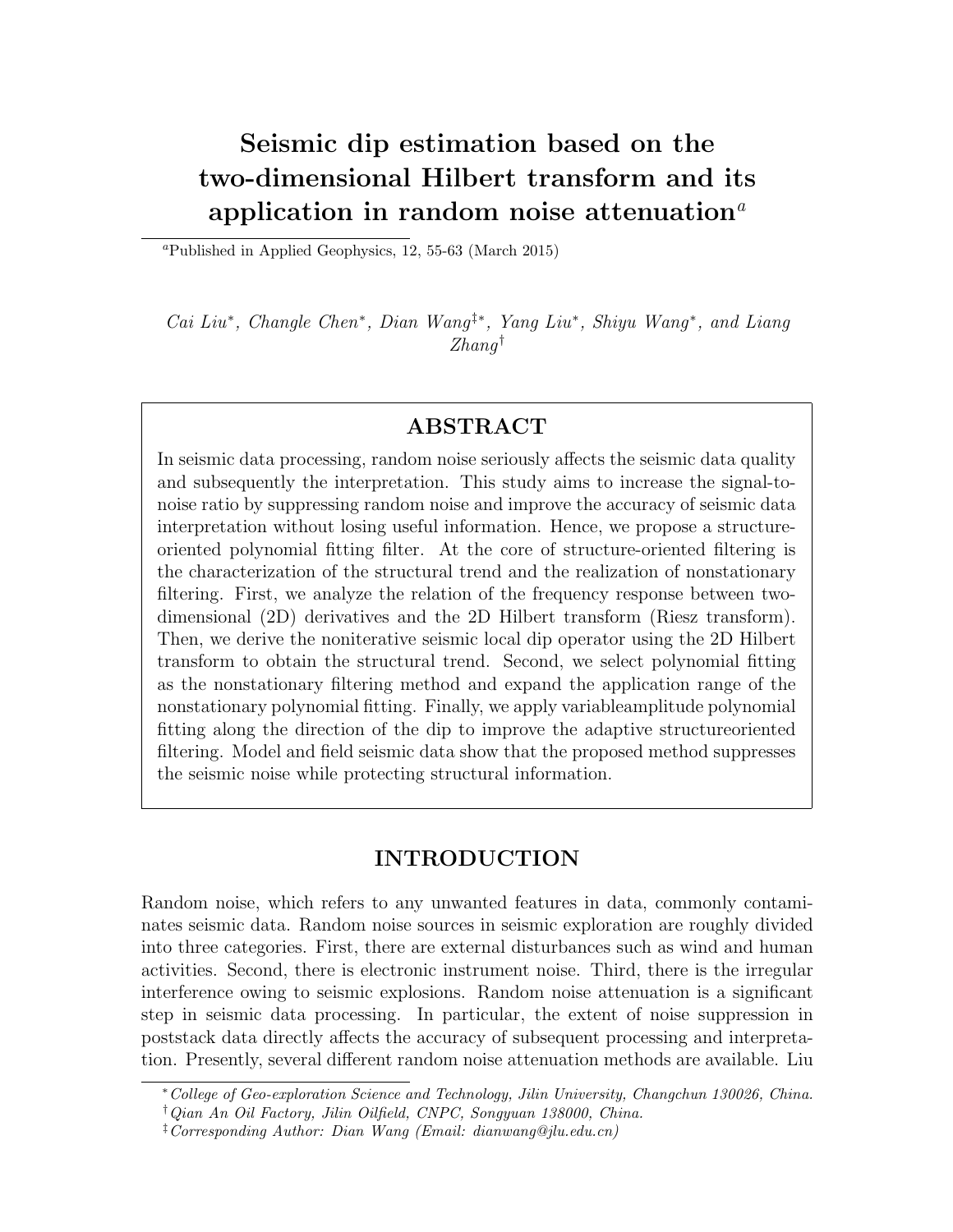# Seismic dip estimation based on the two-dimensional Hilbert transform and its application in random noise attenuation<sup> $a$ </sup>

<sup>a</sup>Published in Applied Geophysics, 12, 55-63 (March 2015)

Cai Liu<sup>\*</sup>, Changle Chen<sup>\*</sup>, Dian Wang<sup>†\*</sup>, Yang Liu<sup>\*</sup>, Shiyu Wang<sup>\*</sup>, and Liang  $Zhanq^{\dagger}$ 

# ABSTRACT

In seismic data processing, random noise seriously affects the seismic data quality and subsequently the interpretation. This study aims to increase the signal-tonoise ratio by suppressing random noise and improve the accuracy of seismic data interpretation without losing useful information. Hence, we propose a structureoriented polynomial fitting filter. At the core of structure-oriented filtering is the characterization of the structural trend and the realization of nonstationary filtering. First, we analyze the relation of the frequency response between twodimensional (2D) derivatives and the 2D Hilbert transform (Riesz transform). Then, we derive the noniterative seismic local dip operator using the 2D Hilbert transform to obtain the structural trend. Second, we select polynomial fitting as the nonstationary filtering method and expand the application range of the nonstationary polynomial fitting. Finally, we apply variableamplitude polynomial fitting along the direction of the dip to improve the adaptive structureoriented filtering. Model and field seismic data show that the proposed method suppresses the seismic noise while protecting structural information.

# INTRODUCTION

Random noise, which refers to any unwanted features in data, commonly contaminates seismic data. Random noise sources in seismic exploration are roughly divided into three categories. First, there are external disturbances such as wind and human activities. Second, there is electronic instrument noise. Third, there is the irregular interference owing to seismic explosions. Random noise attenuation is a significant step in seismic data processing. In particular, the extent of noise suppression in poststack data directly affects the accuracy of subsequent processing and interpretation. Presently, several different random noise attenuation methods are available. Liu

<sup>∗</sup>College of Geo-exploration Science and Technology, Jilin University, Changchun 130026, China.

<sup>†</sup>Qian An Oil Factory, Jilin Oilfield, CNPC, Songyuan 138000, China.

 $\frac{1}{2}$ Corresponding Author: Dian Wang (Email: dianwang@jlu.edu.cn)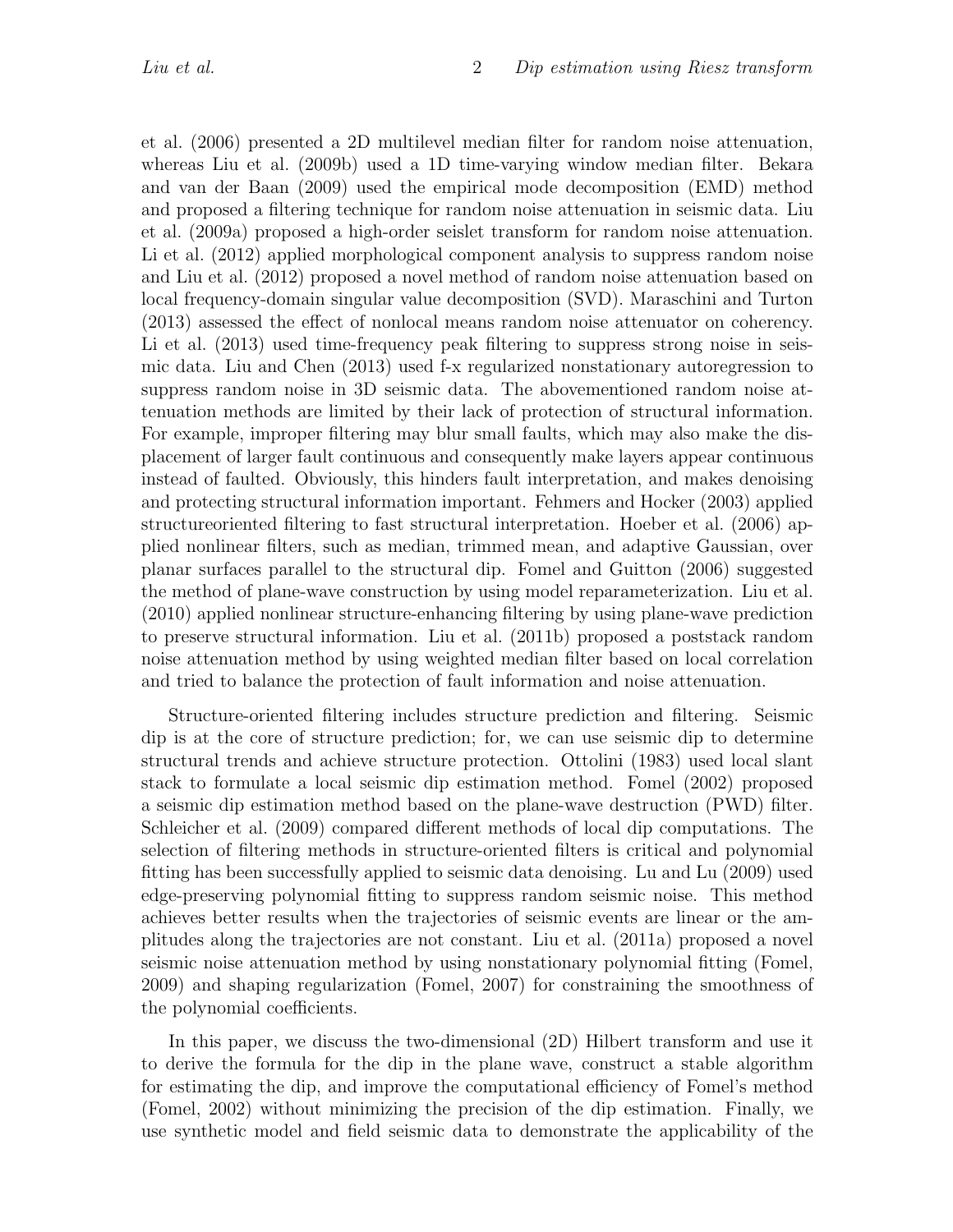et al. (2006) presented a 2D multilevel median filter for random noise attenuation, whereas Liu et al. (2009b) used a 1D time-varying window median filter. Bekara and van der Baan (2009) used the empirical mode decomposition (EMD) method and proposed a filtering technique for random noise attenuation in seismic data. Liu et al. (2009a) proposed a high-order seislet transform for random noise attenuation. Li et al. (2012) applied morphological component analysis to suppress random noise and Liu et al. (2012) proposed a novel method of random noise attenuation based on local frequency-domain singular value decomposition (SVD). Maraschini and Turton (2013) assessed the effect of nonlocal means random noise attenuator on coherency. Li et al.  $(2013)$  used time-frequency peak filtering to suppress strong noise in seismic data. Liu and Chen (2013) used f-x regularized nonstationary autoregression to suppress random noise in 3D seismic data. The abovementioned random noise attenuation methods are limited by their lack of protection of structural information. For example, improper filtering may blur small faults, which may also make the displacement of larger fault continuous and consequently make layers appear continuous instead of faulted. Obviously, this hinders fault interpretation, and makes denoising and protecting structural information important. Fehmers and Hocker (2003) applied structureoriented filtering to fast structural interpretation. Hoeber et al. (2006) applied nonlinear filters, such as median, trimmed mean, and adaptive Gaussian, over planar surfaces parallel to the structural dip. Fomel and Guitton (2006) suggested the method of plane-wave construction by using model reparameterization. Liu et al. (2010) applied nonlinear structure-enhancing filtering by using plane-wave prediction to preserve structural information. Liu et al. (2011b) proposed a poststack random noise attenuation method by using weighted median filter based on local correlation and tried to balance the protection of fault information and noise attenuation.

Structure-oriented filtering includes structure prediction and filtering. Seismic dip is at the core of structure prediction; for, we can use seismic dip to determine structural trends and achieve structure protection. Ottolini (1983) used local slant stack to formulate a local seismic dip estimation method. Fomel (2002) proposed a seismic dip estimation method based on the plane-wave destruction (PWD) filter. Schleicher et al. (2009) compared different methods of local dip computations. The selection of filtering methods in structure-oriented filters is critical and polynomial fitting has been successfully applied to seismic data denoising. Lu and Lu (2009) used edge-preserving polynomial fitting to suppress random seismic noise. This method achieves better results when the trajectories of seismic events are linear or the amplitudes along the trajectories are not constant. Liu et al. (2011a) proposed a novel seismic noise attenuation method by using nonstationary polynomial fitting (Fomel, 2009) and shaping regularization (Fomel, 2007) for constraining the smoothness of the polynomial coefficients.

In this paper, we discuss the two-dimensional (2D) Hilbert transform and use it to derive the formula for the dip in the plane wave, construct a stable algorithm for estimating the dip, and improve the computational efficiency of Fomel's method (Fomel, 2002) without minimizing the precision of the dip estimation. Finally, we use synthetic model and field seismic data to demonstrate the applicability of the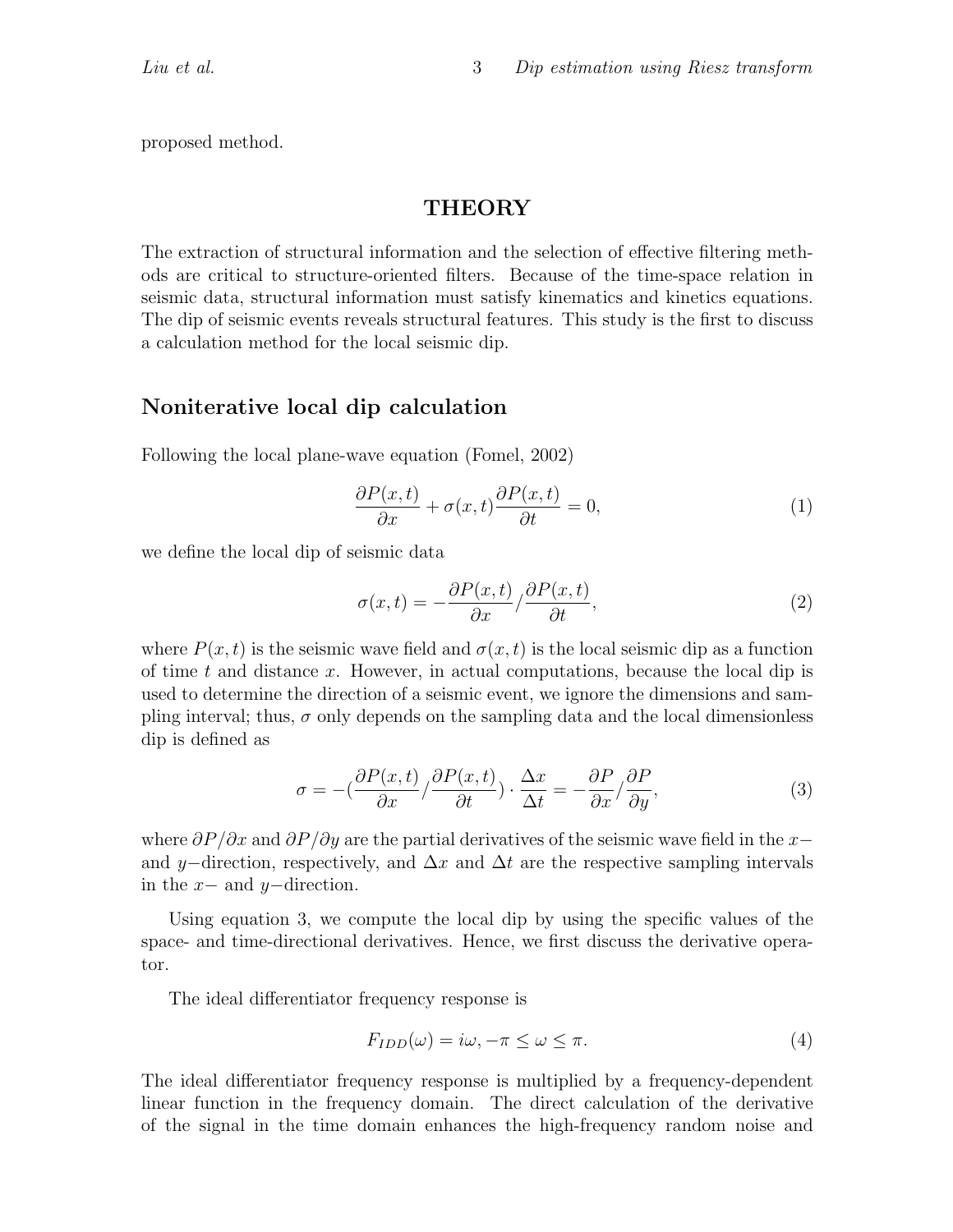proposed method.

# **THEORY**

The extraction of structural information and the selection of effective filtering methods are critical to structure-oriented filters. Because of the time-space relation in seismic data, structural information must satisfy kinematics and kinetics equations. The dip of seismic events reveals structural features. This study is the first to discuss a calculation method for the local seismic dip.

### Noniterative local dip calculation

Following the local plane-wave equation (Fomel, 2002)

$$
\frac{\partial P(x,t)}{\partial x} + \sigma(x,t) \frac{\partial P(x,t)}{\partial t} = 0,\tag{1}
$$

we define the local dip of seismic data

$$
\sigma(x,t) = -\frac{\partial P(x,t)}{\partial x} / \frac{\partial P(x,t)}{\partial t},\tag{2}
$$

where  $P(x, t)$  is the seismic wave field and  $\sigma(x, t)$  is the local seismic dip as a function of time t and distance x. However, in actual computations, because the local dip is used to determine the direction of a seismic event, we ignore the dimensions and sampling interval; thus,  $\sigma$  only depends on the sampling data and the local dimensionless dip is defined as

$$
\sigma = -\left(\frac{\partial P(x,t)}{\partial x}\right) \frac{\partial P(x,t)}{\partial t} \cdot \frac{\Delta x}{\Delta t} = -\frac{\partial P}{\partial x} \frac{\partial P}{\partial y},\tag{3}
$$

where  $\partial P/\partial x$  and  $\partial P/\partial y$  are the partial derivatives of the seismic wave field in the x− and y–direction, respectively, and  $\Delta x$  and  $\Delta t$  are the respective sampling intervals in the  $x-$  and  $y-$ direction.

Using equation 3, we compute the local dip by using the specific values of the space- and time-directional derivatives. Hence, we first discuss the derivative operator.

The ideal differentiator frequency response is

$$
F_{IDD}(\omega) = i\omega, -\pi \le \omega \le \pi.
$$
\n<sup>(4)</sup>

The ideal differentiator frequency response is multiplied by a frequency-dependent linear function in the frequency domain. The direct calculation of the derivative of the signal in the time domain enhances the high-frequency random noise and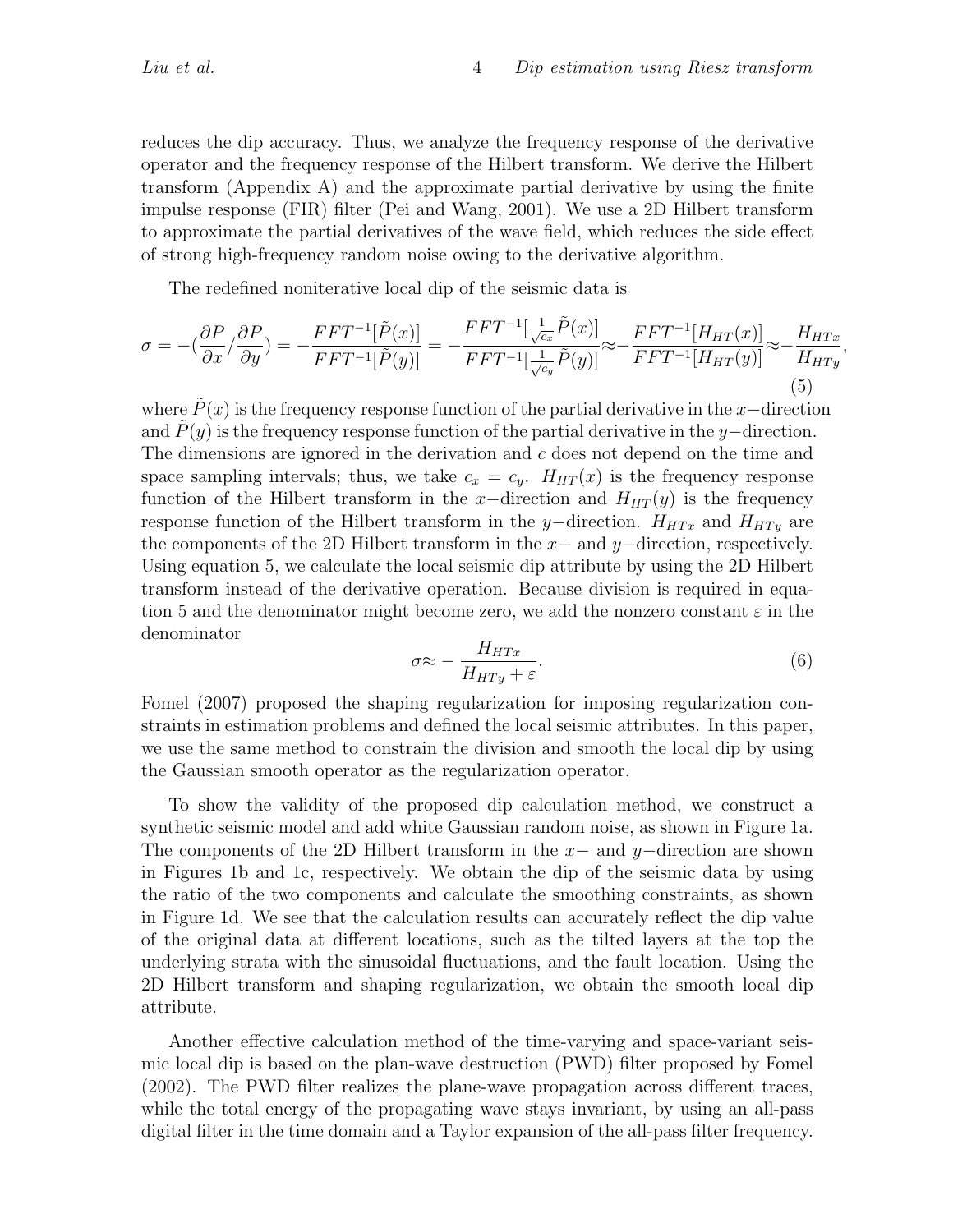reduces the dip accuracy. Thus, we analyze the frequency response of the derivative operator and the frequency response of the Hilbert transform. We derive the Hilbert transform (Appendix A) and the approximate partial derivative by using the finite impulse response (FIR) filter (Pei and Wang, 2001). We use a 2D Hilbert transform to approximate the partial derivatives of the wave field, which reduces the side effect of strong high-frequency random noise owing to the derivative algorithm.

The redefined noniterative local dip of the seismic data is

$$
\sigma = -\left(\frac{\partial P}{\partial x}\right)\frac{\partial P}{\partial y}\right) = -\frac{FFT^{-1}[\tilde{P}(x)]}{FFT^{-1}[\tilde{P}(y)]} = -\frac{FFT^{-1}[\frac{1}{\sqrt{c_x}}\tilde{P}(x)]}{FFT^{-1}[\frac{1}{\sqrt{c_y}}\tilde{P}(y)]} \approx -\frac{FFT^{-1}[H_{HT}(x)]}{FFT^{-1}[H_{HT}(y)]} \approx -\frac{H_{HTx}}{H_{HTy}},\tag{5}
$$

where  $P(x)$  is the frequency response function of the partial derivative in the x-direction and  $P(y)$  is the frequency response function of the partial derivative in the y−direction. The dimensions are ignored in the derivation and c does not depend on the time and space sampling intervals; thus, we take  $c_x = c_y$ .  $H_{HT}(x)$  is the frequency response function of the Hilbert transform in the x–direction and  $H_{HT}(y)$  is the frequency response function of the Hilbert transform in the y–direction.  $H_{HTx}$  and  $H_{HTy}$  are the components of the 2D Hilbert transform in the x− and y−direction, respectively. Using equation 5, we calculate the local seismic dip attribute by using the 2D Hilbert transform instead of the derivative operation. Because division is required in equation 5 and the denominator might become zero, we add the nonzero constant  $\varepsilon$  in the denominator

$$
\sigma \approx -\frac{H_{HTx}}{H_{HTy} + \varepsilon}.\tag{6}
$$

Fomel (2007) proposed the shaping regularization for imposing regularization constraints in estimation problems and defined the local seismic attributes. In this paper, we use the same method to constrain the division and smooth the local dip by using the Gaussian smooth operator as the regularization operator.

To show the validity of the proposed dip calculation method, we construct a synthetic seismic model and add white Gaussian random noise, as shown in Figure 1a. The components of the 2D Hilbert transform in the  $x-$  and  $y-$ direction are shown in Figures 1b and 1c, respectively. We obtain the dip of the seismic data by using the ratio of the two components and calculate the smoothing constraints, as shown in Figure 1d. We see that the calculation results can accurately reflect the dip value of the original data at different locations, such as the tilted layers at the top the underlying strata with the sinusoidal fluctuations, and the fault location. Using the 2D Hilbert transform and shaping regularization, we obtain the smooth local dip attribute.

Another effective calculation method of the time-varying and space-variant seismic local dip is based on the plan-wave destruction (PWD) filter proposed by Fomel (2002). The PWD filter realizes the plane-wave propagation across different traces, while the total energy of the propagating wave stays invariant, by using an all-pass digital filter in the time domain and a Taylor expansion of the all-pass filter frequency.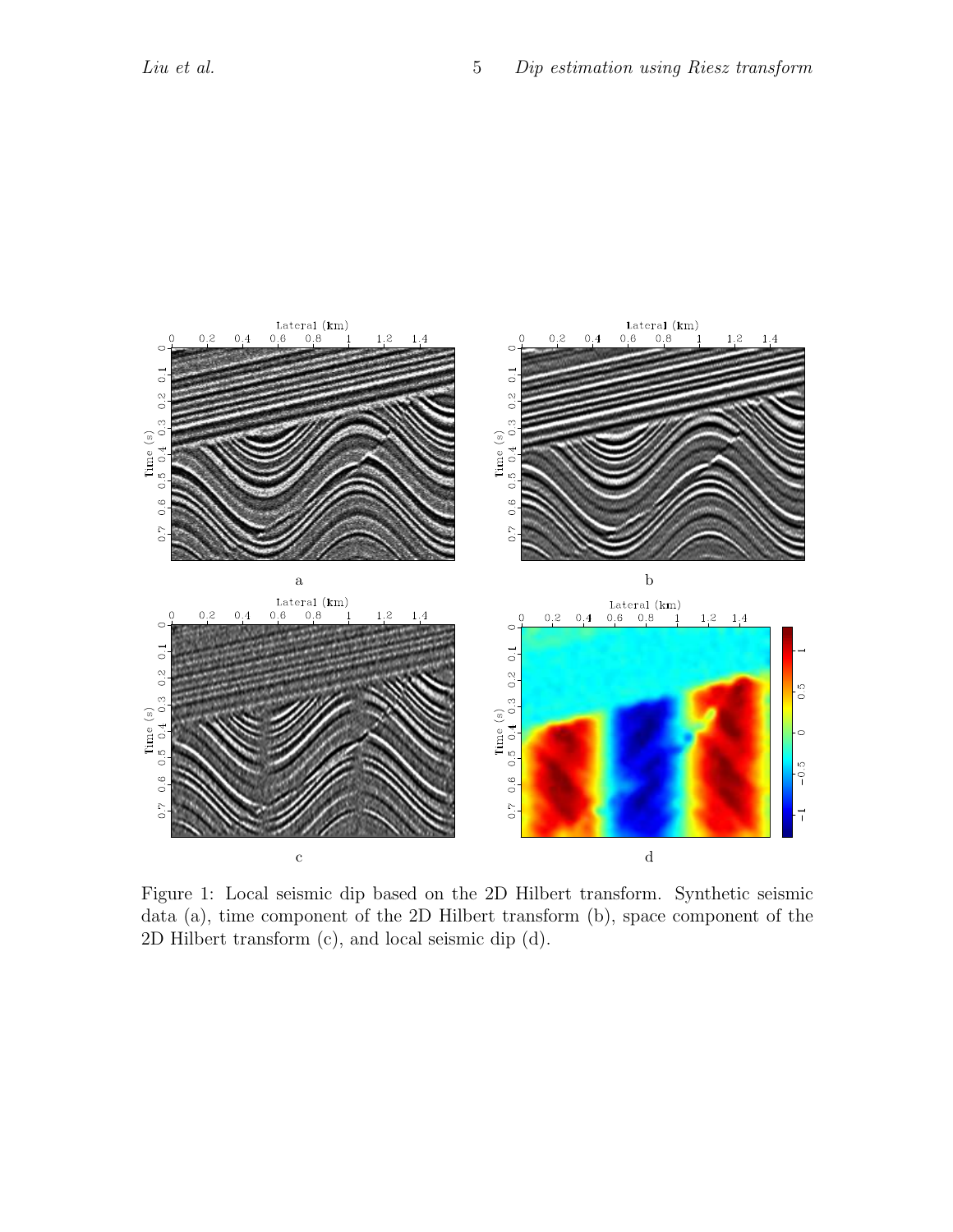

Figure 1: Local seismic dip based on the 2D Hilbert transform. Synthetic seismic data (a), time component of the 2D Hilbert transform (b), space component of the 2D Hilbert transform (c), and local seismic dip (d).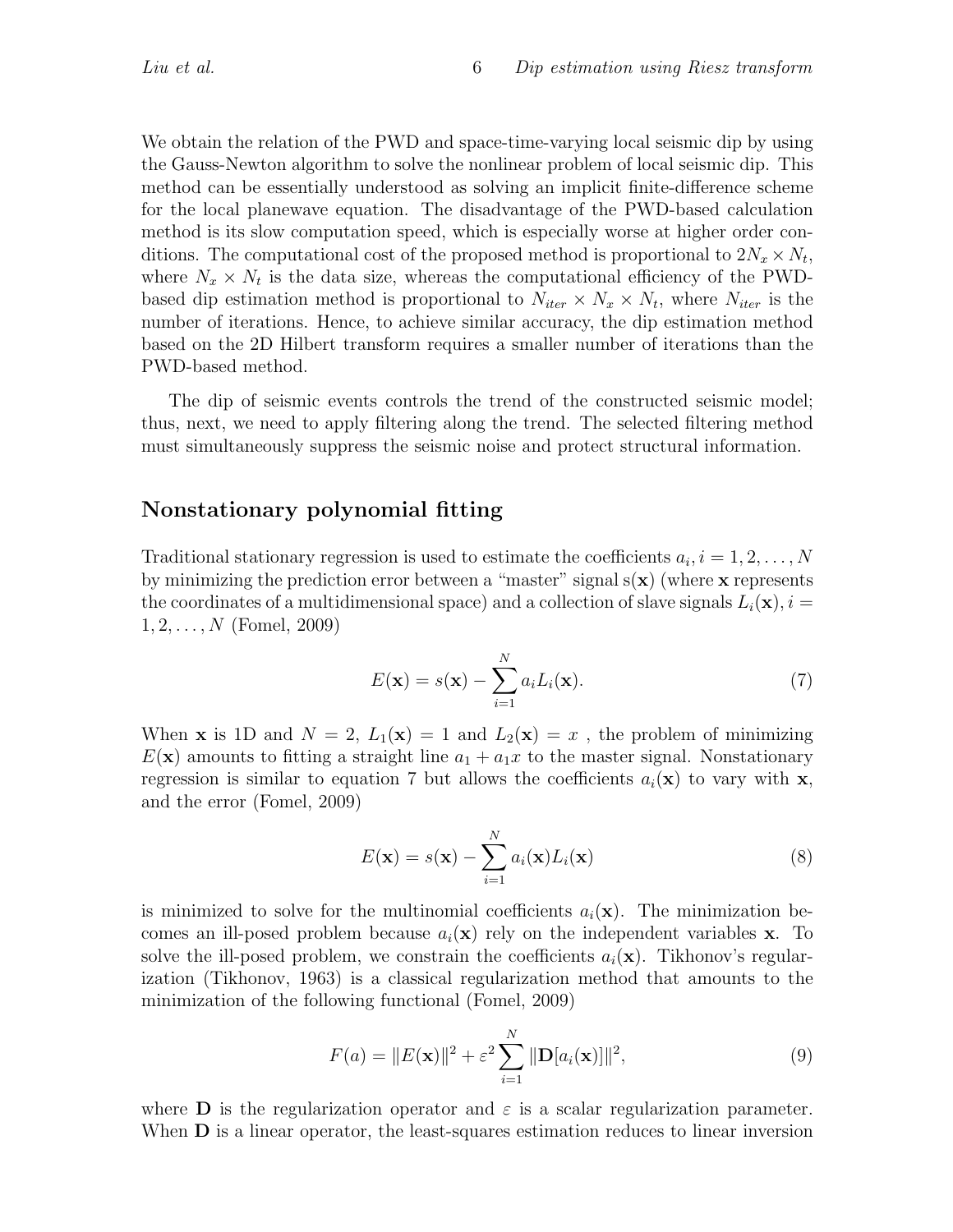We obtain the relation of the PWD and space-time-varying local seismic dip by using the Gauss-Newton algorithm to solve the nonlinear problem of local seismic dip. This method can be essentially understood as solving an implicit finite-difference scheme for the local planewave equation. The disadvantage of the PWD-based calculation method is its slow computation speed, which is especially worse at higher order conditions. The computational cost of the proposed method is proportional to  $2N_x \times N_t$ , where  $N_x \times N_t$  is the data size, whereas the computational efficiency of the PWDbased dip estimation method is proportional to  $N_{iter} \times N_x \times N_t$ , where  $N_{iter}$  is the number of iterations. Hence, to achieve similar accuracy, the dip estimation method based on the 2D Hilbert transform requires a smaller number of iterations than the PWD-based method.

The dip of seismic events controls the trend of the constructed seismic model; thus, next, we need to apply filtering along the trend. The selected filtering method must simultaneously suppress the seismic noise and protect structural information.

### Nonstationary polynomial fitting

Traditional stationary regression is used to estimate the coefficients  $a_i, i = 1, 2, \ldots, N$ by minimizing the prediction error between a "master" signal  $s(x)$  (where x represents the coordinates of a multidimensional space) and a collection of slave signals  $L_i(\mathbf{x}), i =$  $1, 2, \ldots, N$  (Fomel, 2009)

$$
E(\mathbf{x}) = s(\mathbf{x}) - \sum_{i=1}^{N} a_i L_i(\mathbf{x}).
$$
\n(7)

When **x** is 1D and  $N = 2$ ,  $L_1(\mathbf{x}) = 1$  and  $L_2(\mathbf{x}) = x$ , the problem of minimizing  $E(\mathbf{x})$  amounts to fitting a straight line  $a_1 + a_1x$  to the master signal. Nonstationary regression is similar to equation 7 but allows the coefficients  $a_i(\mathbf{x})$  to vary with x, and the error (Fomel, 2009)

$$
E(\mathbf{x}) = s(\mathbf{x}) - \sum_{i=1}^{N} a_i(\mathbf{x}) L_i(\mathbf{x})
$$
\n(8)

is minimized to solve for the multinomial coefficients  $a_i(\mathbf{x})$ . The minimization becomes an ill-posed problem because  $a_i(\mathbf{x})$  rely on the independent variables **x**. To solve the ill-posed problem, we constrain the coefficients  $a_i(\mathbf{x})$ . Tikhonov's regularization (Tikhonov, 1963) is a classical regularization method that amounts to the minimization of the following functional (Fomel, 2009)

$$
F(a) = ||E(\mathbf{x})||^2 + \varepsilon^2 \sum_{i=1}^{N} ||\mathbf{D}[a_i(\mathbf{x})]||^2,
$$
\n(9)

where **D** is the regularization operator and  $\varepsilon$  is a scalar regularization parameter. When **D** is a linear operator, the least-squares estimation reduces to linear inversion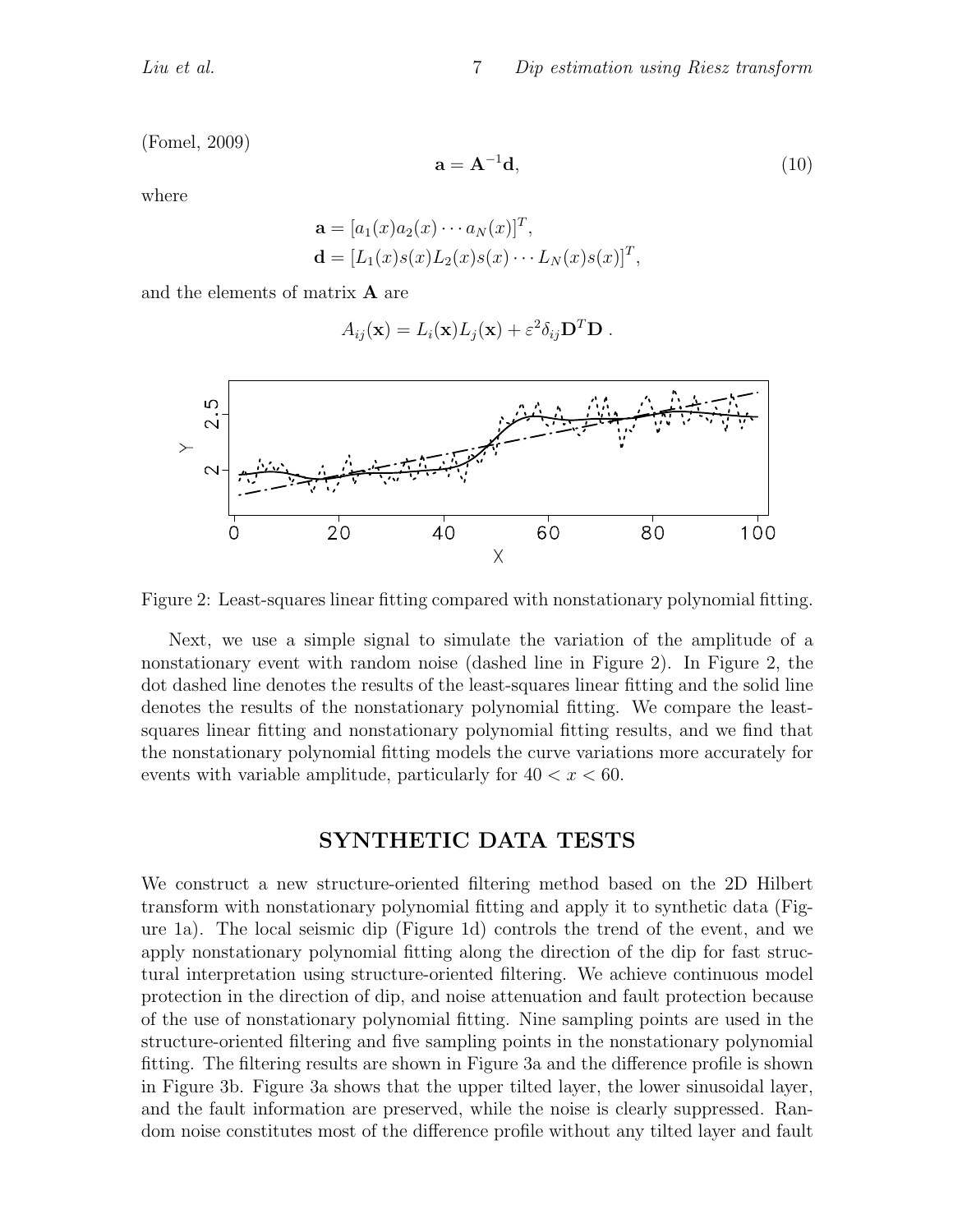(Fomel, 2009)

$$
\mathbf{a} = \mathbf{A}^{-1} \mathbf{d},\tag{10}
$$

where

$$
\mathbf{a} = [a_1(x)a_2(x)\cdots a_N(x)]^T,
$$
  

$$
\mathbf{d} = [L_1(x)s(x)L_2(x)s(x)\cdots L_N(x)s(x)]^T,
$$

and the elements of matrix A are

$$
A_{ij}(\mathbf{x}) = L_i(\mathbf{x})L_j(\mathbf{x}) + \varepsilon^2 \delta_{ij} \mathbf{D}^T \mathbf{D} .
$$



Figure 2: Least-squares linear fitting compared with nonstationary polynomial fitting.

Next, we use a simple signal to simulate the variation of the amplitude of a nonstationary event with random noise (dashed line in Figure 2). In Figure 2, the dot dashed line denotes the results of the least-squares linear fitting and the solid line denotes the results of the nonstationary polynomial fitting. We compare the leastsquares linear fitting and nonstationary polynomial fitting results, and we find that the nonstationary polynomial fitting models the curve variations more accurately for events with variable amplitude, particularly for  $40 < x < 60$ .

## SYNTHETIC DATA TESTS

We construct a new structure-oriented filtering method based on the 2D Hilbert transform with nonstationary polynomial fitting and apply it to synthetic data (Figure 1a). The local seismic dip (Figure 1d) controls the trend of the event, and we apply nonstationary polynomial fitting along the direction of the dip for fast structural interpretation using structure-oriented filtering. We achieve continuous model protection in the direction of dip, and noise attenuation and fault protection because of the use of nonstationary polynomial fitting. Nine sampling points are used in the structure-oriented filtering and five sampling points in the nonstationary polynomial fitting. The filtering results are shown in Figure 3a and the difference profile is shown in Figure 3b. Figure 3a shows that the upper tilted layer, the lower sinusoidal layer, and the fault information are preserved, while the noise is clearly suppressed. Random noise constitutes most of the difference profile without any tilted layer and fault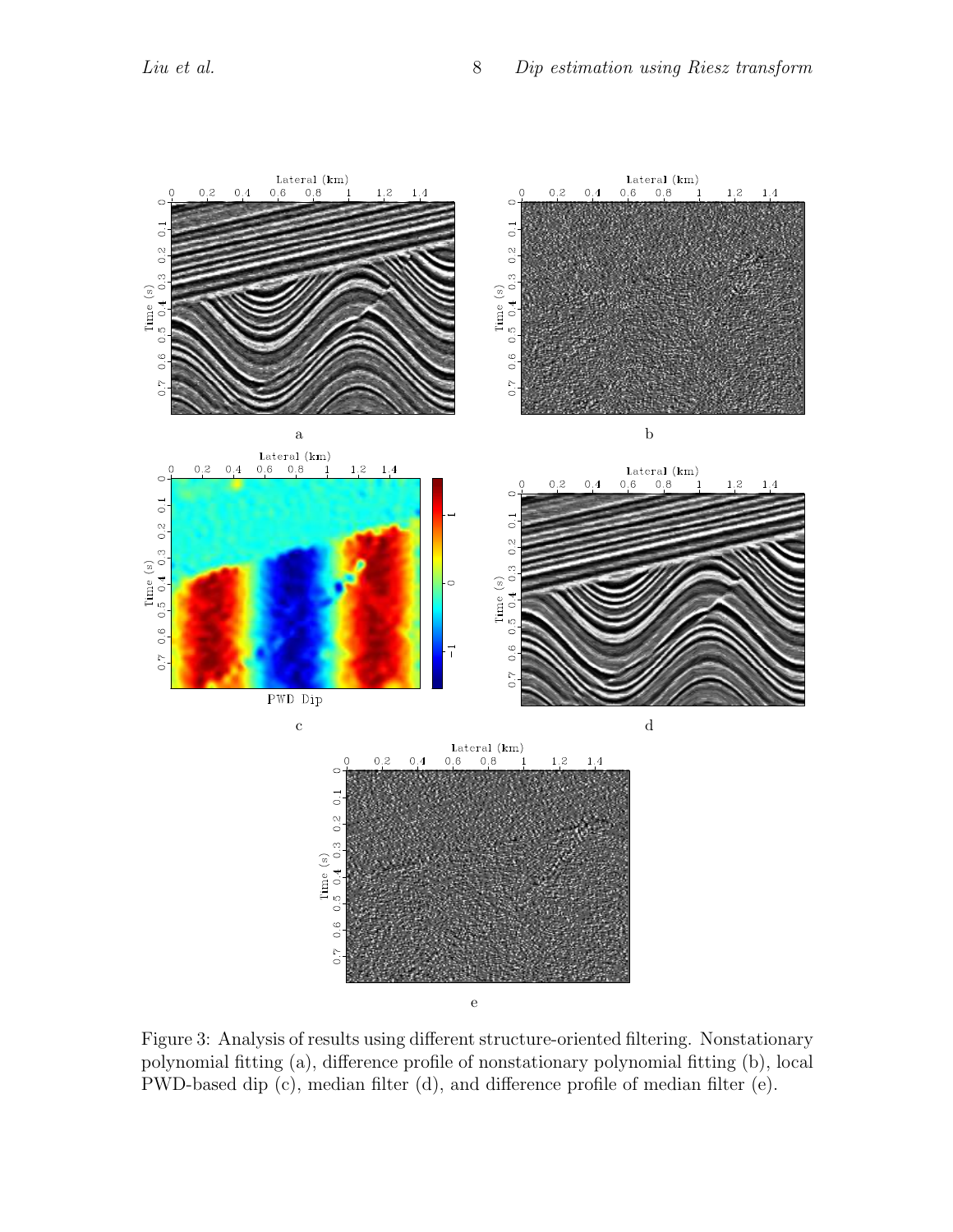

Figure 3: Analysis of results using different structure-oriented filtering. Nonstationary polynomial fitting (a), difference profile of nonstationary polynomial fitting (b), local PWD-based dip (c), median filter (d), and difference profile of median filter (e).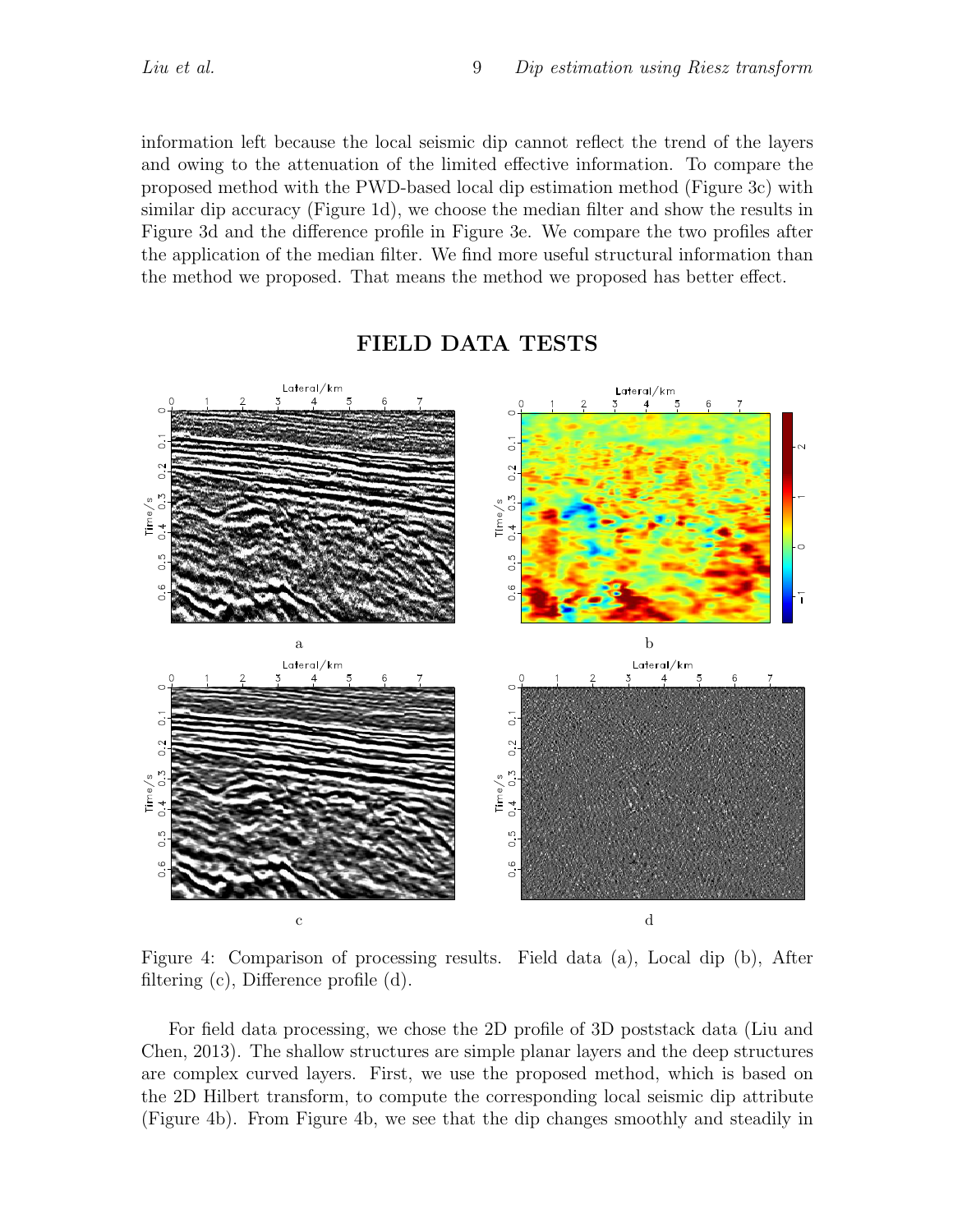information left because the local seismic dip cannot reflect the trend of the layers and owing to the attenuation of the limited effective information. To compare the proposed method with the PWD-based local dip estimation method (Figure 3c) with similar dip accuracy (Figure 1d), we choose the median filter and show the results in Figure 3d and the difference profile in Figure 3e. We compare the two profiles after the application of the median filter. We find more useful structural information than the method we proposed. That means the method we proposed has better effect.



#### FIELD DATA TESTS

Figure 4: Comparison of processing results. Field data (a), Local dip (b), After filtering (c), Difference profile (d).

For field data processing, we chose the 2D profile of 3D poststack data (Liu and Chen, 2013). The shallow structures are simple planar layers and the deep structures are complex curved layers. First, we use the proposed method, which is based on the 2D Hilbert transform, to compute the corresponding local seismic dip attribute (Figure 4b). From Figure 4b, we see that the dip changes smoothly and steadily in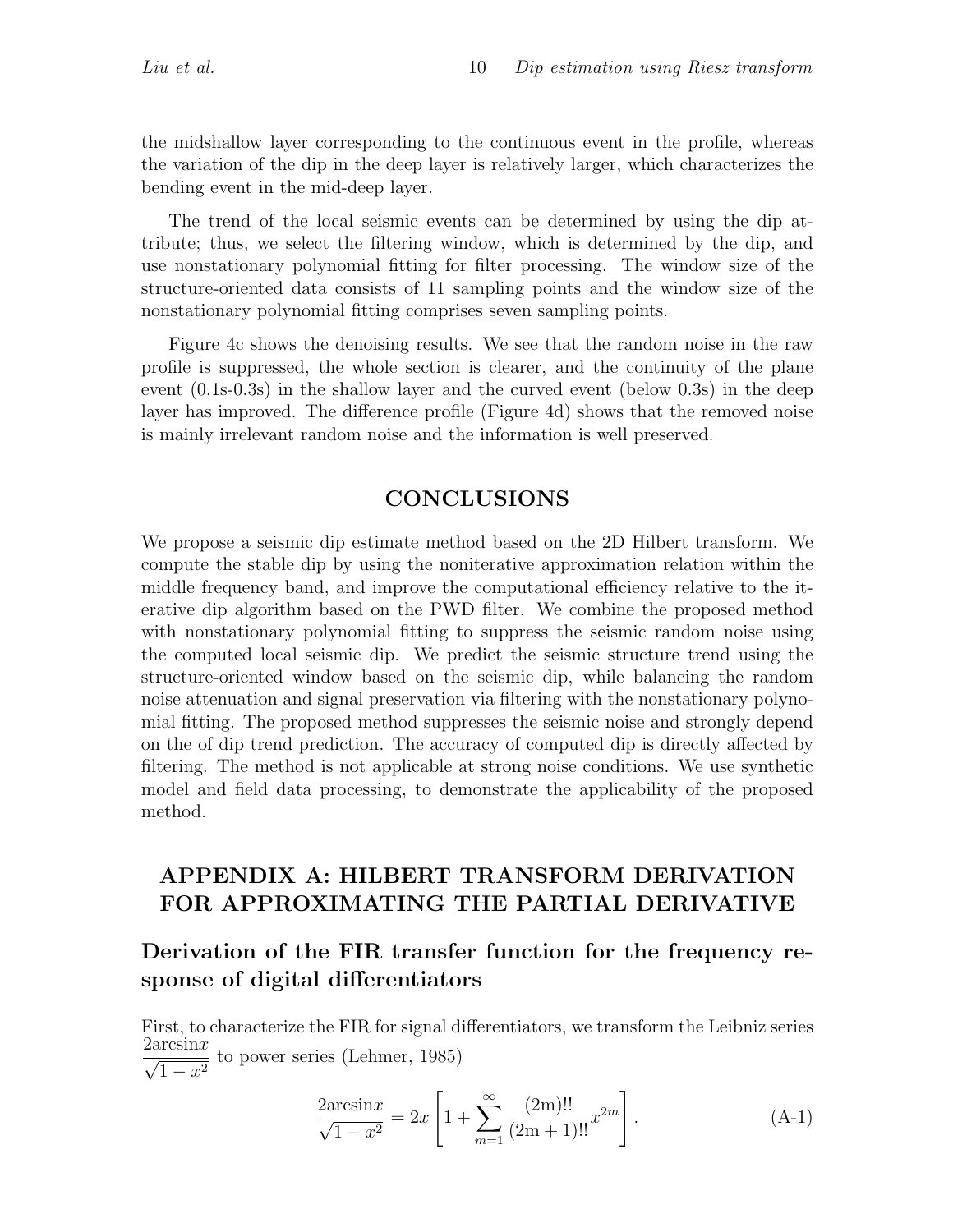the midshallow layer corresponding to the continuous event in the profile, whereas the variation of the dip in the deep layer is relatively larger, which characterizes the bending event in the mid-deep layer.

The trend of the local seismic events can be determined by using the dip attribute; thus, we select the filtering window, which is determined by the dip, and use nonstationary polynomial fitting for filter processing. The window size of the structure-oriented data consists of 11 sampling points and the window size of the nonstationary polynomial fitting comprises seven sampling points.

Figure 4c shows the denoising results. We see that the random noise in the raw profile is suppressed, the whole section is clearer, and the continuity of the plane event (0.1s-0.3s) in the shallow layer and the curved event (below 0.3s) in the deep layer has improved. The difference profile (Figure 4d) shows that the removed noise is mainly irrelevant random noise and the information is well preserved.

## **CONCLUSIONS**

We propose a seismic dip estimate method based on the 2D Hilbert transform. We compute the stable dip by using the noniterative approximation relation within the middle frequency band, and improve the computational efficiency relative to the iterative dip algorithm based on the PWD filter. We combine the proposed method with nonstationary polynomial fitting to suppress the seismic random noise using the computed local seismic dip. We predict the seismic structure trend using the structure-oriented window based on the seismic dip, while balancing the random noise attenuation and signal preservation via filtering with the nonstationary polynomial fitting. The proposed method suppresses the seismic noise and strongly depend on the of dip trend prediction. The accuracy of computed dip is directly affected by filtering. The method is not applicable at strong noise conditions. We use synthetic model and field data processing, to demonstrate the applicability of the proposed method.

# APPENDIX A: HILBERT TRANSFORM DERIVATION FOR APPROXIMATING THE PARTIAL DERIVATIVE

# Derivation of the FIR transfer function for the frequency response of digital differentiators

First, to characterize the FIR for signal differentiators, we transform the Leibniz series  $\frac{2\arcsin x}{\sqrt{2\pi}}$  $\frac{1}{1-x^2}$  to power series (Lehmer, 1985)

$$
\frac{2\arcsin x}{\sqrt{1-x^2}} = 2x \left[ 1 + \sum_{m=1}^{\infty} \frac{(2m)!!}{(2m+1)!!} x^{2m} \right].
$$
 (A-1)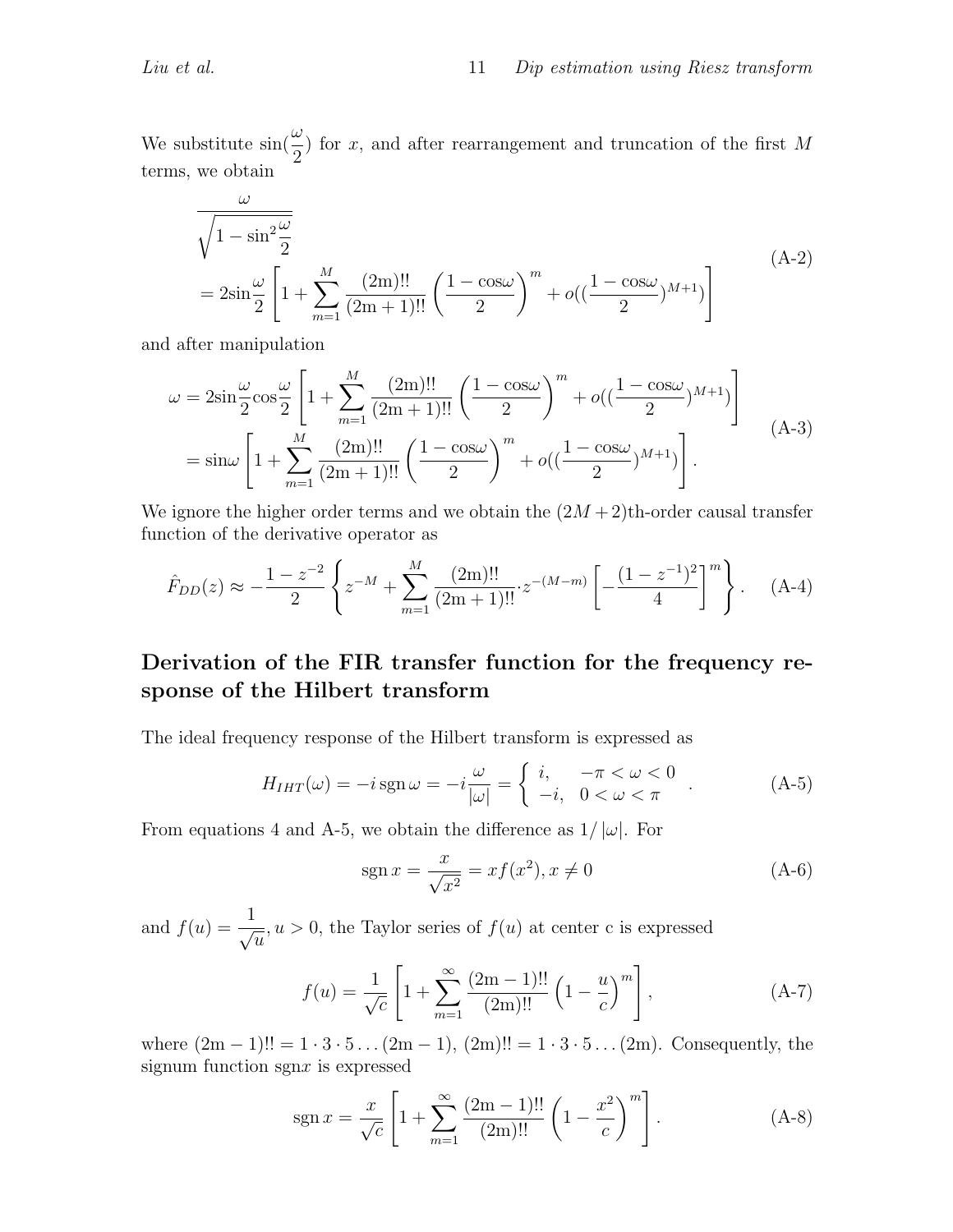We substitute  $\sin(\frac{\omega}{2})$ 2 ) for x, and after rearrangement and truncation of the first M terms, we obtain

$$
\frac{\omega}{\sqrt{1 - \sin^2 \frac{\omega}{2}}}
$$
\n
$$
= 2\sin \frac{\omega}{2} \left[ 1 + \sum_{m=1}^{M} \frac{(2m)!!}{(2m+1)!!} \left( \frac{1 - \cos \omega}{2} \right)^m + o\left( \left( \frac{1 - \cos \omega}{2} \right)^{M+1} \right) \right]
$$
\n(A-2)

and after manipulation

ω

$$
\omega = 2\sin\frac{\omega}{2}\cos\frac{\omega}{2}\left[1 + \sum_{m=1}^{M}\frac{(2m)!!}{(2m+1)!!}\left(\frac{1-\cos\omega}{2}\right)^{m} + o((\frac{1-\cos\omega}{2})^{M+1})\right]
$$
  
=  $\sin\omega\left[1 + \sum_{m=1}^{M}\frac{(2m)!!}{(2m+1)!!}\left(\frac{1-\cos\omega}{2}\right)^{m} + o((\frac{1-\cos\omega}{2})^{M+1})\right].$  (A-3)

We ignore the higher order terms and we obtain the  $(2M + 2)$ th-order causal transfer function of the derivative operator as

$$
\hat{F}_{DD}(z) \approx -\frac{1-z^{-2}}{2} \left\{ z^{-M} + \sum_{m=1}^{M} \frac{(2m)!!}{(2m+1)!!} z^{-(M-m)} \left[ -\frac{(1-z^{-1})^2}{4} \right]^m \right\}.
$$
 (A-4)

# Derivation of the FIR transfer function for the frequency response of the Hilbert transform

The ideal frequency response of the Hilbert transform is expressed as

$$
H_{IHT}(\omega) = -i \operatorname{sgn} \omega = -i \frac{\omega}{|\omega|} = \begin{cases} i, & -\pi < \omega < 0 \\ -i, & 0 < \omega < \pi \end{cases} . \tag{A-5}
$$

From equations 4 and A-5, we obtain the difference as  $1/|\omega|$ . For

$$
sgn x = \frac{x}{\sqrt{x^2}} = x f(x^2), x \neq 0
$$
 (A-6)

and  $f(u) = \frac{1}{\sqrt{2}}$  $\overline{u}$  $, u > 0$ , the Taylor series of  $f(u)$  at center c is expressed

$$
f(u) = \frac{1}{\sqrt{c}} \left[ 1 + \sum_{m=1}^{\infty} \frac{(2m-1)!!}{(2m)!!} \left( 1 - \frac{u}{c} \right)^m \right],
$$
 (A-7)

where  $(2m - 1)!! = 1 \cdot 3 \cdot 5 \dots (2m - 1)$ ,  $(2m)!! = 1 \cdot 3 \cdot 5 \dots (2m)$ . Consequently, the signum function sgnx is expressed

$$
sgn x = \frac{x}{\sqrt{c}} \left[ 1 + \sum_{m=1}^{\infty} \frac{(2m-1)!!}{(2m)!!} \left( 1 - \frac{x^2}{c} \right)^m \right].
$$
 (A-8)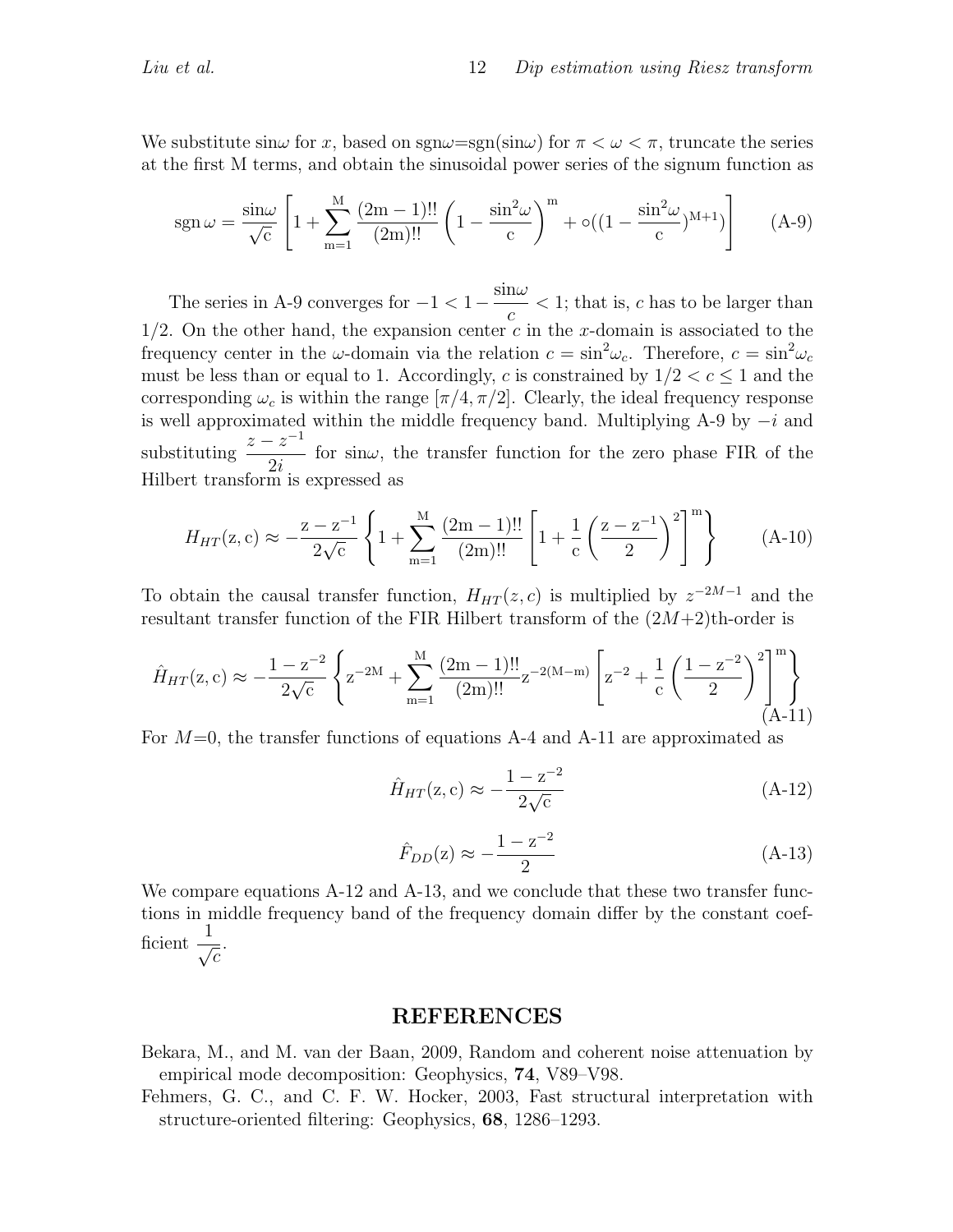We substitute  $\sin \omega$  for x, based on  $\text{sgn}\omega = \text{sgn}(\sin \omega)$  for  $\pi < \omega < \pi$ , truncate the series at the first M terms, and obtain the sinusoidal power series of the signum function as

$$
sgn \omega = \frac{\sin \omega}{\sqrt{c}} \left[ 1 + \sum_{m=1}^{M} \frac{(2m-1)!!}{(2m)!!} \left( 1 - \frac{\sin^2 \omega}{c} \right)^m + o((1 - \frac{\sin^2 \omega}{c})^{M+1}) \right] \tag{A-9}
$$

The series in A-9 converges for  $-1 < 1 - \frac{\sin \omega}{\sqrt{\frac{3\omega}{c^2}}}$ c  $<$  1; that is, c has to be larger than  $1/2$ . On the other hand, the expansion center c in the x-domain is associated to the frequency center in the  $\omega$ -domain via the relation  $c = \sin^2 \omega_c$ . Therefore,  $c = \sin^2 \omega_c$ must be less than or equal to 1. Accordingly, c is constrained by  $1/2 < c \leq 1$  and the corresponding  $\omega_c$  is within the range  $[\pi/4, \pi/2]$ . Clearly, the ideal frequency response is well approximated within the middle frequency band. Multiplying A-9 by  $-i$  and substituting  $\frac{z-z^{-1}}{2}$  $2i$ for sin $\omega$ , the transfer function for the zero phase FIR of the Hilbert transform is expressed as

$$
H_{HT}(\mathbf{z}, \mathbf{c}) \approx -\frac{\mathbf{z} - \mathbf{z}^{-1}}{2\sqrt{\mathbf{c}}} \left\{ 1 + \sum_{m=1}^{M} \frac{(2m-1)!!}{(2m)!!} \left[ 1 + \frac{1}{\mathbf{c}} \left( \frac{\mathbf{z} - \mathbf{z}^{-1}}{2} \right)^2 \right]^m \right\}
$$
(A-10)

To obtain the causal transfer function,  $H_{HT}(z, c)$  is multiplied by  $z^{-2M-1}$  and the resultant transfer function of the FIR Hilbert transform of the  $(2M+2)$ <sup>th-order is</sup>

$$
\hat{H}_{HT}(\mathbf{z}, \mathbf{c}) \approx -\frac{1 - \mathbf{z}^{-2}}{2\sqrt{\mathbf{c}}} \left\{ \mathbf{z}^{-2M} + \sum_{m=1}^{M} \frac{(2m-1)!!}{(2m)!!} \mathbf{z}^{-2(M-m)} \left[ \mathbf{z}^{-2} + \frac{1}{\mathbf{c}} \left( \frac{1 - \mathbf{z}^{-2}}{2} \right)^2 \right]_{(A-11)}^{m} \right\}
$$

For  $M=0$ , the transfer functions of equations A-4 and A-11 are approximated as

$$
\hat{H}_{HT}(\mathbf{z}, \mathbf{c}) \approx -\frac{1 - \mathbf{z}^{-2}}{2\sqrt{\mathbf{c}}} \tag{A-12}
$$

$$
\hat{F}_{DD}(z) \approx -\frac{1-z^{-2}}{2} \tag{A-13}
$$

We compare equations A-12 and A-13, and we conclude that these two transfer functions in middle frequency band of the frequency domain differ by the constant coefficient  $\frac{1}{\sqrt{2}}$  $\overline{c}$ .

#### REFERENCES

- Bekara, M., and M. van der Baan, 2009, Random and coherent noise attenuation by empirical mode decomposition: Geophysics, 74, V89–V98.
- Fehmers, G. C., and C. F. W. Hocker, 2003, Fast structural interpretation with structure-oriented filtering: Geophysics, 68, 1286–1293.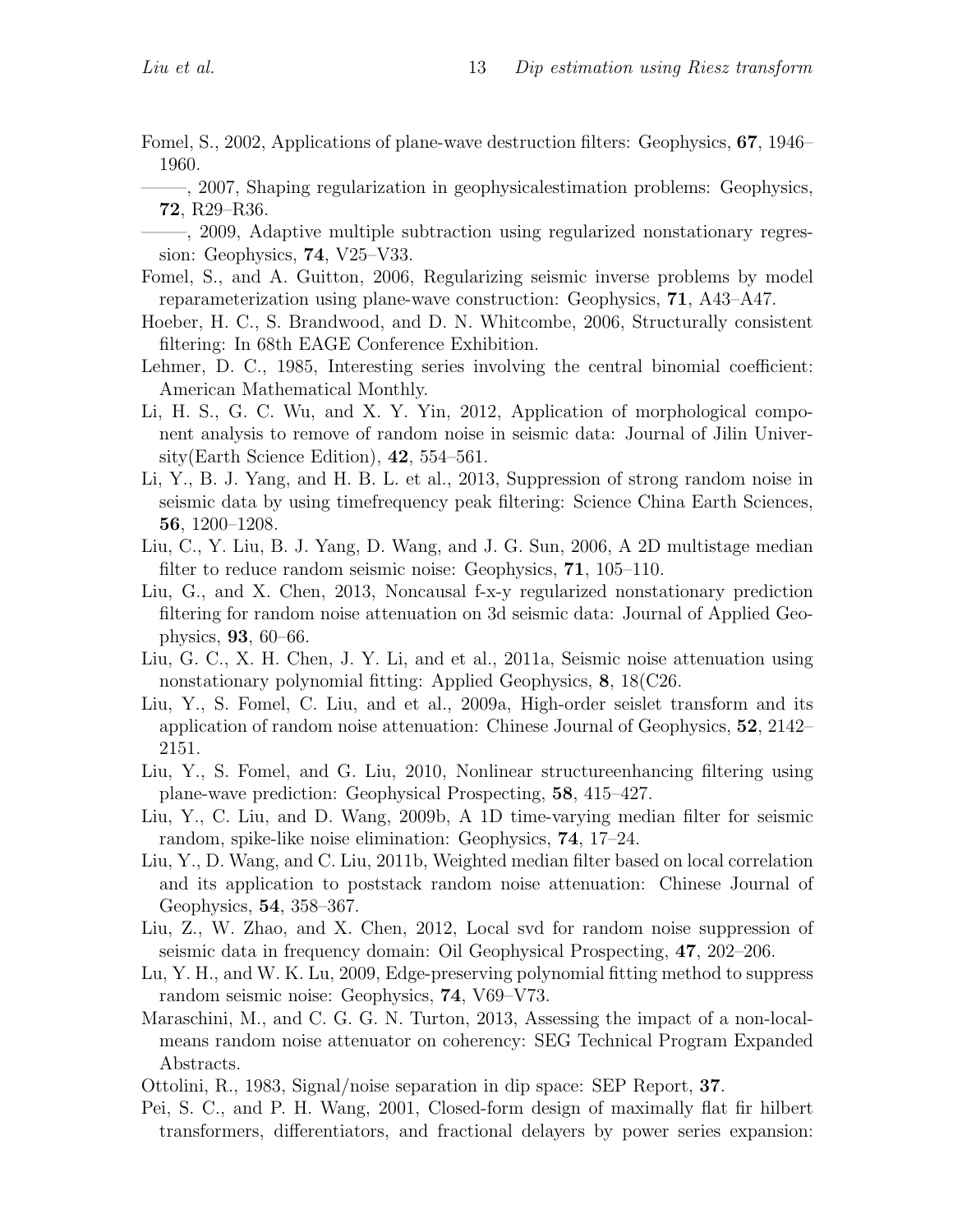- Fomel, S., 2002, Applications of plane-wave destruction filters: Geophysics, 67, 1946– 1960.
- ——–, 2007, Shaping regularization in geophysicalestimation problems: Geophysics, 72, R29–R36.
- ——–, 2009, Adaptive multiple subtraction using regularized nonstationary regression: Geophysics, 74, V25–V33.
- Fomel, S., and A. Guitton, 2006, Regularizing seismic inverse problems by model reparameterization using plane-wave construction: Geophysics, 71, A43–A47.
- Hoeber, H. C., S. Brandwood, and D. N. Whitcombe, 2006, Structurally consistent filtering: In 68th EAGE Conference Exhibition.
- Lehmer, D. C., 1985, Interesting series involving the central binomial coefficient: American Mathematical Monthly.
- Li, H. S., G. C. Wu, and X. Y. Yin, 2012, Application of morphological component analysis to remove of random noise in seismic data: Journal of Jilin University(Earth Science Edition), 42, 554–561.
- Li, Y., B. J. Yang, and H. B. L. et al., 2013, Suppression of strong random noise in seismic data by using timefrequency peak filtering: Science China Earth Sciences, 56, 1200–1208.
- Liu, C., Y. Liu, B. J. Yang, D. Wang, and J. G. Sun, 2006, A 2D multistage median filter to reduce random seismic noise: Geophysics, **71**, 105–110.
- Liu, G., and X. Chen, 2013, Noncausal f-x-y regularized nonstationary prediction filtering for random noise attenuation on 3d seismic data: Journal of Applied Geophysics, 93, 60–66.
- Liu, G. C., X. H. Chen, J. Y. Li, and et al., 2011a, Seismic noise attenuation using nonstationary polynomial fitting: Applied Geophysics, 8, 18(C26.
- Liu, Y., S. Fomel, C. Liu, and et al., 2009a, High-order seislet transform and its application of random noise attenuation: Chinese Journal of Geophysics, 52, 2142– 2151.
- Liu, Y., S. Fomel, and G. Liu, 2010, Nonlinear structureenhancing filtering using plane-wave prediction: Geophysical Prospecting, 58, 415–427.
- Liu, Y., C. Liu, and D. Wang, 2009b, A 1D time-varying median filter for seismic random, spike-like noise elimination: Geophysics, 74, 17–24.
- Liu, Y., D. Wang, and C. Liu, 2011b, Weighted median filter based on local correlation and its application to poststack random noise attenuation: Chinese Journal of Geophysics, 54, 358–367.
- Liu, Z., W. Zhao, and X. Chen, 2012, Local svd for random noise suppression of seismic data in frequency domain: Oil Geophysical Prospecting, 47, 202–206.
- Lu, Y. H., and W. K. Lu, 2009, Edge-preserving polynomial fitting method to suppress random seismic noise: Geophysics, 74, V69–V73.
- Maraschini, M., and C. G. G. N. Turton, 2013, Assessing the impact of a non-localmeans random noise attenuator on coherency: SEG Technical Program Expanded Abstracts.
- Ottolini, R., 1983, Signal/noise separation in dip space: SEP Report, 37.
- Pei, S. C., and P. H. Wang, 2001, Closed-form design of maximally flat fir hilbert transformers, differentiators, and fractional delayers by power series expansion: